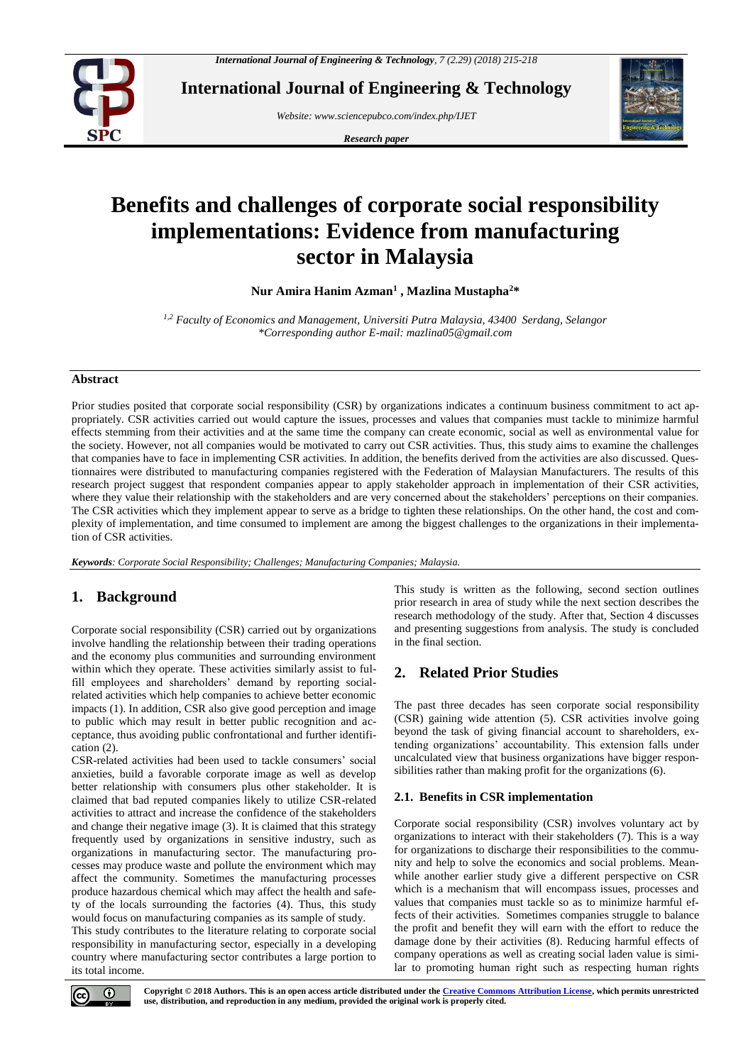

**International Journal of Engineering & Technology**

*Website: www.sciencepubco.com/index.php/IJET* 

*Research paper*



# **Benefits and challenges of corporate social responsibility implementations: Evidence from manufacturing sector in Malaysia**

**Nur Amira Hanim Azman<sup>1</sup> , Mazlina Mustapha<sup>2</sup>\***

*1,2 Faculty of Economics and Management, Universiti Putra Malaysia, 43400 Serdang, Selangor \*Corresponding author E-mail: mazlina05@gmail.com*

## **Abstract**

Prior studies posited that corporate social responsibility (CSR) by organizations indicates a continuum business commitment to act appropriately. CSR activities carried out would capture the issues, processes and values that companies must tackle to minimize harmful effects stemming from their activities and at the same time the company can create economic, social as well as environmental value for the society. However, not all companies would be motivated to carry out CSR activities. Thus, this study aims to examine the challenges that companies have to face in implementing CSR activities. In addition, the benefits derived from the activities are also discussed. Questionnaires were distributed to manufacturing companies registered with the Federation of Malaysian Manufacturers. The results of this research project suggest that respondent companies appear to apply stakeholder approach in implementation of their CSR activities, where they value their relationship with the stakeholders and are very concerned about the stakeholders' perceptions on their companies. The CSR activities which they implement appear to serve as a bridge to tighten these relationships. On the other hand, the cost and complexity of implementation, and time consumed to implement are among the biggest challenges to the organizations in their implementation of CSR activities.

*Keywords: Corporate Social Responsibility; Challenges; Manufacturing Companies; Malaysia.*

# **1. Background**

Corporate social responsibility (CSR) carried out by organizations involve handling the relationship between their trading operations and the economy plus communities and surrounding environment within which they operate. These activities similarly assist to fulfill employees and shareholders' demand by reporting socialrelated activities which help companies to achieve better economic impacts [\(1\)](#page-3-0). In addition, CSR also give good perception and image to public which may result in better public recognition and acceptance, thus avoiding public confrontational and further identification [\(2\)](#page-3-1).

CSR-related activities had been used to tackle consumers' social anxieties, build a favorable corporate image as well as develop better relationship with consumers plus other stakeholder. It is claimed that bad reputed companies likely to utilize CSR-related activities to attract and increase the confidence of the stakeholders and change their negative image [\(3\)](#page-3-2). It is claimed that this strategy frequently used by organizations in sensitive industry, such as organizations in manufacturing sector. The manufacturing processes may produce waste and pollute the environment which may affect the community. Sometimes the manufacturing processes produce hazardous chemical which may affect the health and safety of the locals surrounding the factories [\(4\)](#page-3-3). Thus, this study would focus on manufacturing companies as its sample of study.

This study contributes to the literature relating to corporate social responsibility in manufacturing sector, especially in a developing country where manufacturing sector contributes a large portion to its total income.

This study is written as the following, second section outlines prior research in area of study while the next section describes the research methodology of the study. After that, Section 4 discusses and presenting suggestions from analysis. The study is concluded in the final section.

# **2. Related Prior Studies**

The past three decades has seen corporate social responsibility (CSR) gaining wide attention [\(5\)](#page-3-4). CSR activities involve going beyond the task of giving financial account to shareholders, extending organizations' accountability. This extension falls under uncalculated view that business organizations have bigger responsibilities rather than making profit for the organizations [\(6\)](#page-3-5).

## **2.1. Benefits in CSR implementation**

Corporate social responsibility (CSR) involves voluntary act by organizations to interact with their stakeholders [\(7\)](#page-3-6). This is a way for organizations to discharge their responsibilities to the community and help to solve the economics and social problems. Meanwhile another earlier study give a different perspective on CSR which is a mechanism that will encompass issues, processes and values that companies must tackle so as to minimize harmful effects of their activities. Sometimes companies struggle to balance the profit and benefit they will earn with the effort to reduce the damage done by their activities [\(8\)](#page-3-7). Reducing harmful effects of company operations as well as creating social laden value is similar to promoting human right such as respecting human rights

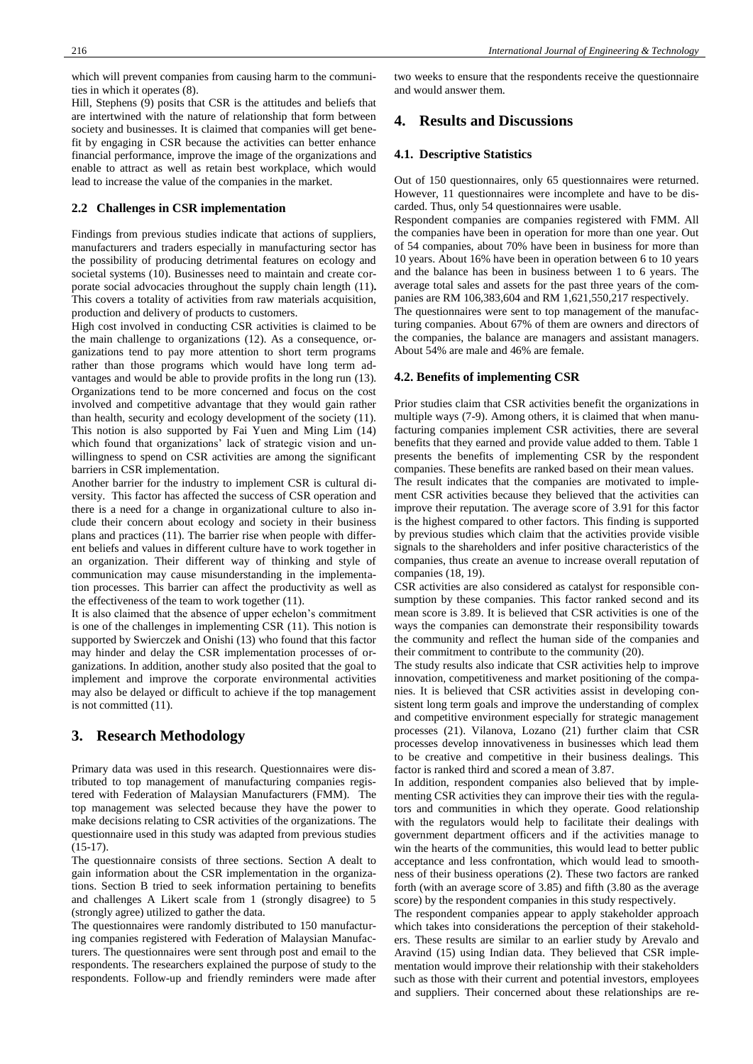which will prevent companies from causing harm to the communities in which it operates [\(8\)](#page-3-7).

[Hill, Stephens \(9\)](#page-3-8) posits that CSR is the attitudes and beliefs that are intertwined with the nature of relationship that form between society and businesses. It is claimed that companies will get benefit by engaging in CSR because the activities can better enhance financial performance, improve the image of the organizations and enable to attract as well as retain best workplace, which would lead to increase the value of the companies in the market.

#### **2.2 Challenges in CSR implementation**

Findings from previous studies indicate that actions of suppliers, manufacturers and traders especially in manufacturing sector has the possibility of producing detrimental features on ecology and societal systems [\(10\)](#page-3-9). Businesses need to maintain and create corporate social advocacies throughout the supply chain length [\(11\)](#page-3-10)**.**  This covers a totality of activities from raw materials acquisition, production and delivery of products to customers.

High cost involved in conducting CSR activities is claimed to be the main challenge to organizations [\(12\)](#page-3-11). As a consequence, organizations tend to pay more attention to short term programs rather than those programs which would have long term advantages and would be able to provide profits in the long run [\(13\)](#page-3-12). Organizations tend to be more concerned and focus on the cost involved and competitive advantage that they would gain rather than health, security and ecology development of the society [\(11\)](#page-3-10). This notion is also supported by [Fai Yuen and Ming Lim \(14\)](#page-3-13) which found that organizations' lack of strategic vision and unwillingness to spend on CSR activities are among the significant barriers in CSR implementation.

Another barrier for the industry to implement CSR is cultural diversity. This factor has affected the success of CSR operation and there is a need for a change in organizational culture to also include their concern about ecology and society in their business plans and practices [\(11\)](#page-3-10). The barrier rise when people with different beliefs and values in different culture have to work together in an organization. Their different way of thinking and style of communication may cause misunderstanding in the implementation processes. This barrier can affect the productivity as well as the effectiveness of the team to work together [\(11\)](#page-3-10).

It is also claimed that the absence of upper echelon's commitment is one of the challenges in implementing CSR [\(11\)](#page-3-10). This notion is supported by [Swierczek and Onishi \(13\)](#page-3-12) who found that this factor may hinder and delay the CSR implementation processes of organizations. In addition, another study also posited that the goal to implement and improve the corporate environmental activities may also be delayed or difficult to achieve if the top management is not committed [\(11\)](#page-3-10).

# **3. Research Methodology**

Primary data was used in this research. Questionnaires were distributed to top management of manufacturing companies registered with Federation of Malaysian Manufacturers (FMM). The top management was selected because they have the power to make decisions relating to CSR activities of the organizations. The questionnaire used in this study was adapted from previous studies  $(15-17)$ .

The questionnaire consists of three sections. Section A dealt to gain information about the CSR implementation in the organizations. Section B tried to seek information pertaining to benefits and challenges A Likert scale from 1 (strongly disagree) to 5 (strongly agree) utilized to gather the data.

The questionnaires were randomly distributed to 150 manufacturing companies registered with Federation of Malaysian Manufacturers. The questionnaires were sent through post and email to the respondents. The researchers explained the purpose of study to the respondents. Follow-up and friendly reminders were made after two weeks to ensure that the respondents receive the questionnaire and would answer them.

## **4. Results and Discussions**

#### **4.1. Descriptive Statistics**

Out of 150 questionnaires, only 65 questionnaires were returned. However, 11 questionnaires were incomplete and have to be discarded. Thus, only 54 questionnaires were usable.

Respondent companies are companies registered with FMM. All the companies have been in operation for more than one year. Out of 54 companies, about 70% have been in business for more than 10 years. About 16% have been in operation between 6 to 10 years and the balance has been in business between 1 to 6 years. The average total sales and assets for the past three years of the companies are RM 106,383,604 and RM 1,621,550,217 respectively.

The questionnaires were sent to top management of the manufacturing companies. About 67% of them are owners and directors of the companies, the balance are managers and assistant managers. About 54% are male and 46% are female.

#### **4.2. Benefits of implementing CSR**

Prior studies claim that CSR activities benefit the organizations in multiple ways [\(7-9\)](#page-3-6). Among others, it is claimed that when manufacturing companies implement CSR activities, there are several benefits that they earned and provide value added to them. Table 1 presents the benefits of implementing CSR by the respondent companies. These benefits are ranked based on their mean values.

The result indicates that the companies are motivated to implement CSR activities because they believed that the activities can improve their reputation. The average score of 3.91 for this factor is the highest compared to other factors. This finding is supported by previous studies which claim that the activities provide visible signals to the shareholders and infer positive characteristics of the companies, thus create an avenue to increase overall reputation of companies [\(18,](#page-3-15) [19\)](#page-3-16).

CSR activities are also considered as catalyst for responsible consumption by these companies. This factor ranked second and its mean score is 3.89. It is believed that CSR activities is one of the ways the companies can demonstrate their responsibility towards the community and reflect the human side of the companies and their commitment to contribute to the community [\(20\)](#page-3-17).

The study results also indicate that CSR activities help to improve innovation, competitiveness and market positioning of the companies. It is believed that CSR activities assist in developing consistent long term goals and improve the understanding of complex and competitive environment especially for strategic management processes [\(21\)](#page-3-18). [Vilanova, Lozano \(21\)](#page-3-18) further claim that CSR processes develop innovativeness in businesses which lead them to be creative and competitive in their business dealings. This factor is ranked third and scored a mean of 3.87.

In addition, respondent companies also believed that by implementing CSR activities they can improve their ties with the regulators and communities in which they operate. Good relationship with the regulators would help to facilitate their dealings with government department officers and if the activities manage to win the hearts of the communities, this would lead to better public acceptance and less confrontation, which would lead to smoothness of their business operations [\(2\)](#page-3-1). These two factors are ranked forth (with an average score of 3.85) and fifth (3.80 as the average score) by the respondent companies in this study respectively.

The respondent companies appear to apply stakeholder approach which takes into considerations the perception of their stakeholders. These results are similar to an earlier study by [Arevalo and](#page-3-14)  Aravind (15) using Indian data. They believed that CSR implementation would improve their relationship with their stakeholders such as those with their current and potential investors, employees and suppliers. Their concerned about these relationships are re-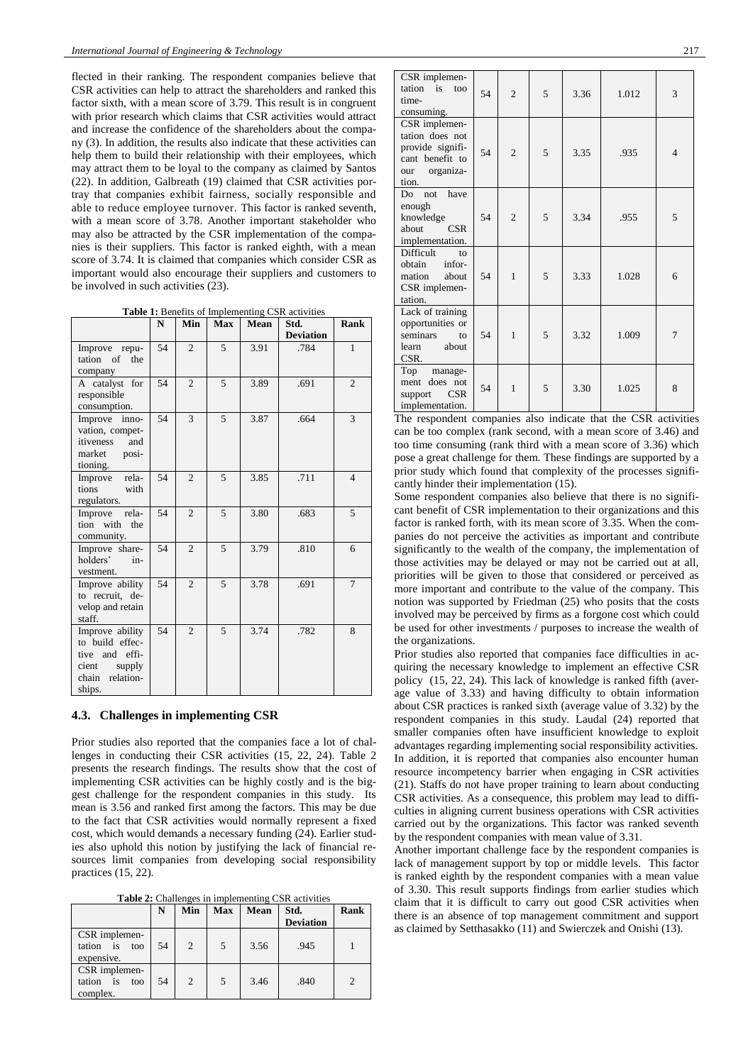flected in their ranking. The respondent companies believe that CSR activities can help to attract the shareholders and ranked this factor sixth, with a mean score of 3.79. This result is in congruent with prior research which claims that CSR activities would attract and increase the confidence of the shareholders about the company [\(3\)](#page-3-2). In addition, the results also indicate that these activities can help them to build their relationship with their employees, which may attract them to be loyal to the company as claimed by [Santos](#page-3-19)  (22). In addition, [Galbreath \(19\)](#page-3-16) claimed that CSR activities portray that companies exhibit fairness, socially responsible and able to reduce employee turnover. This factor is ranked seventh, with a mean score of 3.78. Another important stakeholder who may also be attracted by the CSR implementation of the companies is their suppliers. This factor is ranked eighth, with a mean score of 3.74. It is claimed that companies which consider CSR as important would also encourage their suppliers and customers to be involved in such activities [\(23\)](#page-3-20).

**Table 1:** Benefits of Implementing CSR activities

|                                                                                                         | N  | Min            | Max | <b>Mean</b> | Std.             | Rank           |
|---------------------------------------------------------------------------------------------------------|----|----------------|-----|-------------|------------------|----------------|
|                                                                                                         |    |                |     |             | <b>Deviation</b> |                |
| Improve repu-<br>tation of<br>the<br>company                                                            | 54 | $\overline{c}$ | 5   | 3.91        | .784             | $\mathbf{1}$   |
| A catalyst for<br>responsible<br>consumption.                                                           | 54 | $\overline{c}$ | 5   | 3.89        | .691             | $\overline{c}$ |
| Improve inno-<br>vation, compet-<br>itiveness<br>and<br>market<br>posi-<br>tioning.                     | 54 | 3              | 5   | 3.87        | .664             | 3              |
| Improve<br>rela-<br>tions<br>with<br>regulators.                                                        | 54 | $\overline{c}$ | 5   | 3.85        | .711             | $\overline{4}$ |
| Improve<br>rela-<br>tion with the<br>community.                                                         | 54 | $\overline{c}$ | 5   | 3.80        | .683             | 5              |
| Improve share-<br>holders'<br>$in-$<br>vestment.                                                        | 54 | $\overline{c}$ | 5   | 3.79        | .810             | 6              |
| Improve ability<br>to recruit, de-<br>velop and retain<br>staff.                                        | 54 | $\overline{2}$ | 5   | 3.78        | .691             | 7              |
| Improve ability<br>to build effec-<br>and effi-<br>tive<br>supply<br>cient<br>chain relation-<br>ships. | 54 | $\mathfrak{D}$ | 5   | 3.74        | .782             | 8              |

### **4.3. Challenges in implementing CSR**

Prior studies also reported that the companies face a lot of challenges in conducting their CSR activities [\(15,](#page-3-14) [22,](#page-3-19) [24\)](#page-3-21). Table 2 presents the research findings. The results show that the cost of implementing CSR activities can be highly costly and is the biggest challenge for the respondent companies in this study. Its mean is 3.56 and ranked first among the factors. This may be due to the fact that CSR activities would normally represent a fixed cost, which would demands a necessary funding [\(24\)](#page-3-21). Earlier studies also uphold this notion by justifying the lack of financial resources limit companies from developing social responsibility practices [\(15,](#page-3-14) [22\)](#page-3-19).

**Table 2:** Challenges in implementing CSR activities

|                                                 | N  | Min | <b>Max</b> | Mean | Std.<br><b>Deviation</b> | Rank          |
|-------------------------------------------------|----|-----|------------|------|--------------------------|---------------|
| CSR implemen-<br>tation is<br>too<br>expensive. | 54 | 2   | 5          | 3.56 | .945                     |               |
| CSR implemen-<br>tation is<br>too<br>complex.   | 54 | 2   | 5          | 3.46 | .840                     | $\mathcal{P}$ |

| CSR implemen-<br>tation is<br>too<br>time-<br>consuming.                                             | 54 | $\overline{c}$ | 5 | 3.36 | 1.012 | 3              |
|------------------------------------------------------------------------------------------------------|----|----------------|---|------|-------|----------------|
| CSR implemen-<br>tation does not<br>provide signifi-<br>cant benefit to<br>organiza-<br>our<br>tion. | 54 | $\overline{c}$ | 5 | 3.35 | .935  | $\overline{4}$ |
| have<br>Do<br>not<br>enough<br>knowledge<br>about<br><b>CSR</b><br>implementation.                   | 54 | $\overline{c}$ | 5 | 3.34 | .955  | 5              |
| <b>Difficult</b><br>to<br>obtain<br>infor-<br>mation<br>about<br>CSR implemen-<br>tation.            | 54 | 1              | 5 | 3.33 | 1.028 | 6              |
| Lack of training<br>opportunities or<br>seminars<br>to<br>about<br>learn<br>CSR.                     | 54 | $\mathbf{1}$   | 5 | 3.32 | 1.009 | 7              |
| Top manage-<br>does not<br>ment<br><b>CSR</b><br>support<br>implementation.                          | 54 | 1              | 5 | 3.30 | 1.025 | 8              |

The respondent companies also indicate that the CSR activities can be too complex (rank second, with a mean score of 3.46) and too time consuming (rank third with a mean score of 3.36) which pose a great challenge for them. These findings are supported by a prior study which found that complexity of the processes significantly hinder their implementation [\(15\)](#page-3-14).

Some respondent companies also believe that there is no significant benefit of CSR implementation to their organizations and this factor is ranked forth, with its mean score of 3.35. When the companies do not perceive the activities as important and contribute significantly to the wealth of the company, the implementation of those activities may be delayed or may not be carried out at all, priorities will be given to those that considered or perceived as more important and contribute to the value of the company. This notion was supported by [Friedman \(25\)](#page-3-22) who posits that the costs involved may be perceived by firms as a forgone cost which could be used for other investments / purposes to increase the wealth of the organizations.

Prior studies also reported that companies face difficulties in acquiring the necessary knowledge to implement an effective CSR policy [\(15,](#page-3-14) [22,](#page-3-19) [24\)](#page-3-21). This lack of knowledge is ranked fifth (average value of 3.33) and having difficulty to obtain information about CSR practices is ranked sixth (average value of 3.32) by the respondent companies in this study. [Laudal \(24\)](#page-3-21) reported that smaller companies often have insufficient knowledge to exploit advantages regarding implementing social responsibility activities. In addition, it is reported that companies also encounter human resource incompetency barrier when engaging in CSR activities [\(21\)](#page-3-18). Staffs do not have proper training to learn about conducting CSR activities. As a consequence, this problem may lead to difficulties in aligning current business operations with CSR activities carried out by the organizations. This factor was ranked seventh by the respondent companies with mean value of 3.31.

Another important challenge face by the respondent companies is lack of management support by top or middle levels. This factor is ranked eighth by the respondent companies with a mean value of 3.30. This result supports findings from earlier studies which claim that it is difficult to carry out good CSR activities when there is an absence of top management commitment and support as claimed b[y Setthasakko \(11\)](#page-3-10) and [Swierczek and Onishi \(13\).](#page-3-12)